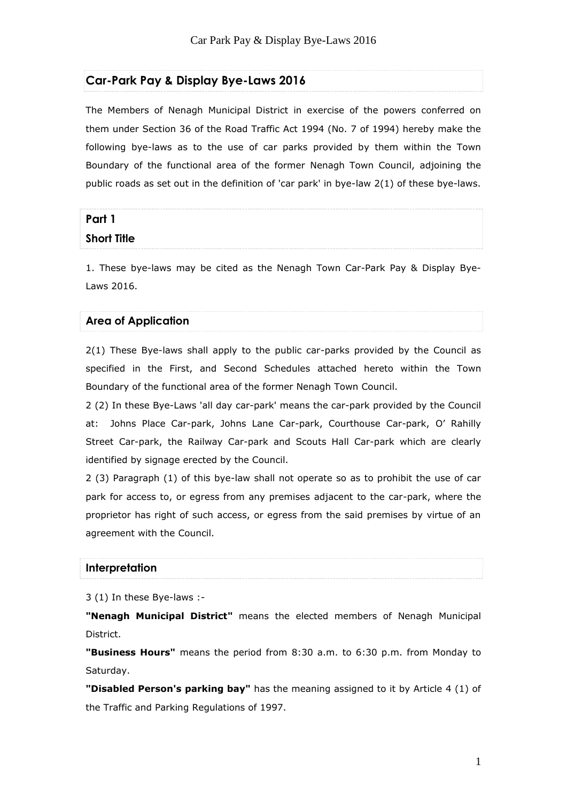## **Car-Park Pay & Display Bye-Laws 2016**

The Members of Nenagh Municipal District in exercise of the powers conferred on them under Section 36 of the Road Traffic Act 1994 (No. 7 of 1994) hereby make the following bye-laws as to the use of car parks provided by them within the Town Boundary of the functional area of the former Nenagh Town Council, adjoining the public roads as set out in the definition of 'car park' in bye-law 2(1) of these bye-laws.

| Part 1             |  |
|--------------------|--|
| <b>Short Title</b> |  |

1. These bye-laws may be cited as the Nenagh Town Car-Park Pay & Display Bye-Laws 2016.

#### **Area of Application**

2(1) These Bye-laws shall apply to the public car-parks provided by the Council as specified in the First, and Second Schedules attached hereto within the Town Boundary of the functional area of the former Nenagh Town Council.

2 (2) In these Bye-Laws 'all day car-park' means the car-park provided by the Council at: Johns Place Car-park, Johns Lane Car-park, Courthouse Car-park, O' Rahilly Street Car-park, the Railway Car-park and Scouts Hall Car-park which are clearly identified by signage erected by the Council.

2 (3) Paragraph (1) of this bye-law shall not operate so as to prohibit the use of car park for access to, or egress from any premises adjacent to the car-park, where the proprietor has right of such access, or egress from the said premises by virtue of an agreement with the Council.

## **Interpretation**

3 (1) In these Bye-laws :-

**"Nenagh Municipal District"** means the elected members of Nenagh Municipal District.

**"Business Hours"** means the period from 8:30 a.m. to 6:30 p.m. from Monday to Saturday.

**"Disabled Person's parking bay"** has the meaning assigned to it by Article 4 (1) of the Traffic and Parking Regulations of 1997.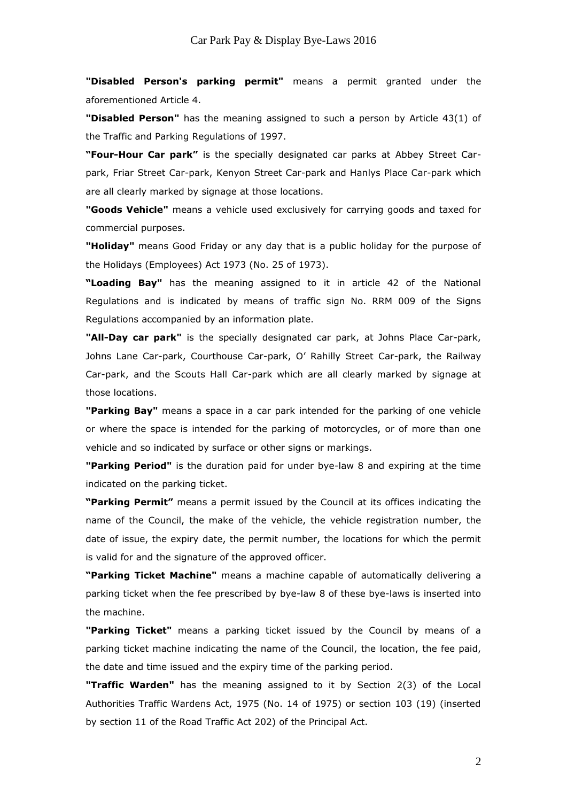**"Disabled Person's parking permit"** means a permit granted under the aforementioned Article 4.

**"Disabled Person"** has the meaning assigned to such a person by Article 43(1) of the Traffic and Parking Regulations of 1997.

**"Four-Hour Car park"** is the specially designated car parks at Abbey Street Carpark, Friar Street Car-park, Kenyon Street Car-park and Hanlys Place Car-park which are all clearly marked by signage at those locations.

**"Goods Vehicle"** means a vehicle used exclusively for carrying goods and taxed for commercial purposes.

**"Holiday"** means Good Friday or any day that is a public holiday for the purpose of the Holidays (Employees) Act 1973 (No. 25 of 1973).

**"Loading Bay"** has the meaning assigned to it in article 42 of the National Regulations and is indicated by means of traffic sign No. RRM 009 of the Signs Regulations accompanied by an information plate.

**"All-Day car park"** is the specially designated car park, at Johns Place Car-park, Johns Lane Car-park, Courthouse Car-park, O' Rahilly Street Car-park, the Railway Car-park, and the Scouts Hall Car-park which are all clearly marked by signage at those locations.

**"Parking Bay"** means a space in a car park intended for the parking of one vehicle or where the space is intended for the parking of motorcycles, or of more than one vehicle and so indicated by surface or other signs or markings.

**"Parking Period"** is the duration paid for under bye-law 8 and expiring at the time indicated on the parking ticket.

**"Parking Permit"** means a permit issued by the Council at its offices indicating the name of the Council, the make of the vehicle, the vehicle registration number, the date of issue, the expiry date, the permit number, the locations for which the permit is valid for and the signature of the approved officer.

**"Parking Ticket Machine"** means a machine capable of automatically delivering a parking ticket when the fee prescribed by bye-law 8 of these bye-laws is inserted into the machine.

**"Parking Ticket"** means a parking ticket issued by the Council by means of a parking ticket machine indicating the name of the Council, the location, the fee paid, the date and time issued and the expiry time of the parking period.

**"Traffic Warden"** has the meaning assigned to it by Section 2(3) of the Local Authorities Traffic Wardens Act, 1975 (No. 14 of 1975) or section 103 (19) (inserted by section 11 of the Road Traffic Act 202) of the Principal Act.

2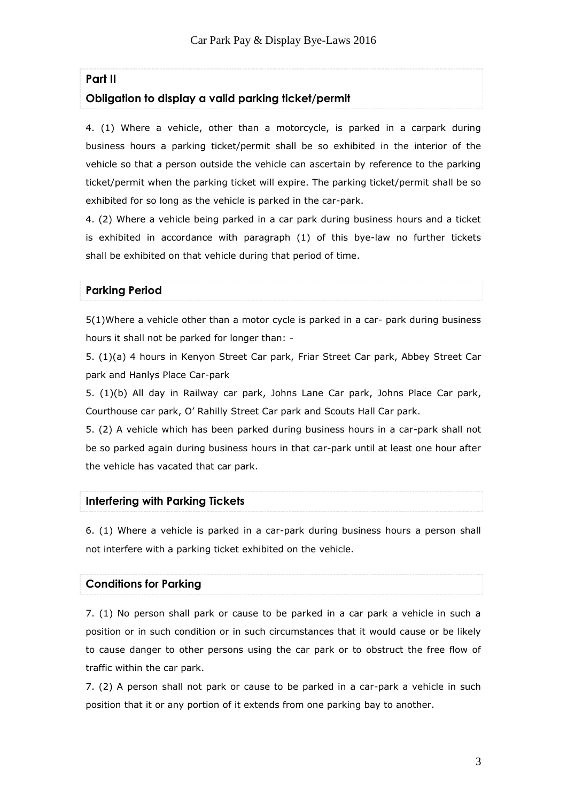## **Part II**

## **Obligation to display a valid parking ticket/permit**

4. (1) Where a vehicle, other than a motorcycle, is parked in a carpark during business hours a parking ticket/permit shall be so exhibited in the interior of the vehicle so that a person outside the vehicle can ascertain by reference to the parking ticket/permit when the parking ticket will expire. The parking ticket/permit shall be so exhibited for so long as the vehicle is parked in the car-park.

4. (2) Where a vehicle being parked in a car park during business hours and a ticket is exhibited in accordance with paragraph (1) of this bye-law no further tickets shall be exhibited on that vehicle during that period of time.

## **Parking Period**

5(1)Where a vehicle other than a motor cycle is parked in a car- park during business hours it shall not be parked for longer than: -

5. (1)(a) 4 hours in Kenyon Street Car park, Friar Street Car park, Abbey Street Car park and Hanlys Place Car-park

5. (1)(b) All day in Railway car park, Johns Lane Car park, Johns Place Car park, Courthouse car park, O' Rahilly Street Car park and Scouts Hall Car park.

5. (2) A vehicle which has been parked during business hours in a car-park shall not be so parked again during business hours in that car-park until at least one hour after the vehicle has vacated that car park.

#### **Interfering with Parking Tickets**

6. (1) Where a vehicle is parked in a car-park during business hours a person shall not interfere with a parking ticket exhibited on the vehicle.

#### **Conditions for Parking**

7. (1) No person shall park or cause to be parked in a car park a vehicle in such a position or in such condition or in such circumstances that it would cause or be likely to cause danger to other persons using the car park or to obstruct the free flow of traffic within the car park.

7. (2) A person shall not park or cause to be parked in a car-park a vehicle in such position that it or any portion of it extends from one parking bay to another.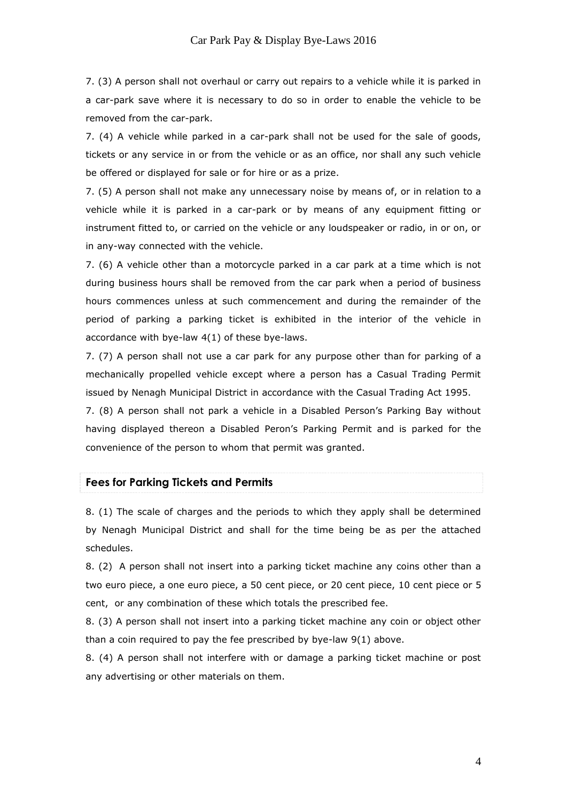7. (3) A person shall not overhaul or carry out repairs to a vehicle while it is parked in a car-park save where it is necessary to do so in order to enable the vehicle to be removed from the car-park.

7. (4) A vehicle while parked in a car-park shall not be used for the sale of goods, tickets or any service in or from the vehicle or as an office, nor shall any such vehicle be offered or displayed for sale or for hire or as a prize.

7. (5) A person shall not make any unnecessary noise by means of, or in relation to a vehicle while it is parked in a car-park or by means of any equipment fitting or instrument fitted to, or carried on the vehicle or any loudspeaker or radio, in or on, or in any-way connected with the vehicle.

7. (6) A vehicle other than a motorcycle parked in a car park at a time which is not during business hours shall be removed from the car park when a period of business hours commences unless at such commencement and during the remainder of the period of parking a parking ticket is exhibited in the interior of the vehicle in accordance with bye-law 4(1) of these bye-laws.

7. (7) A person shall not use a car park for any purpose other than for parking of a mechanically propelled vehicle except where a person has a Casual Trading Permit issued by Nenagh Municipal District in accordance with the Casual Trading Act 1995.

7. (8) A person shall not park a vehicle in a Disabled Person's Parking Bay without having displayed thereon a Disabled Peron's Parking Permit and is parked for the convenience of the person to whom that permit was granted.

#### **Fees for Parking Tickets and Permits**

8. (1) The scale of charges and the periods to which they apply shall be determined by Nenagh Municipal District and shall for the time being be as per the attached schedules.

8. (2) A person shall not insert into a parking ticket machine any coins other than a two euro piece, a one euro piece, a 50 cent piece, or 20 cent piece, 10 cent piece or 5 cent, or any combination of these which totals the prescribed fee.

8. (3) A person shall not insert into a parking ticket machine any coin or object other than a coin required to pay the fee prescribed by bye-law 9(1) above.

8. (4) A person shall not interfere with or damage a parking ticket machine or post any advertising or other materials on them.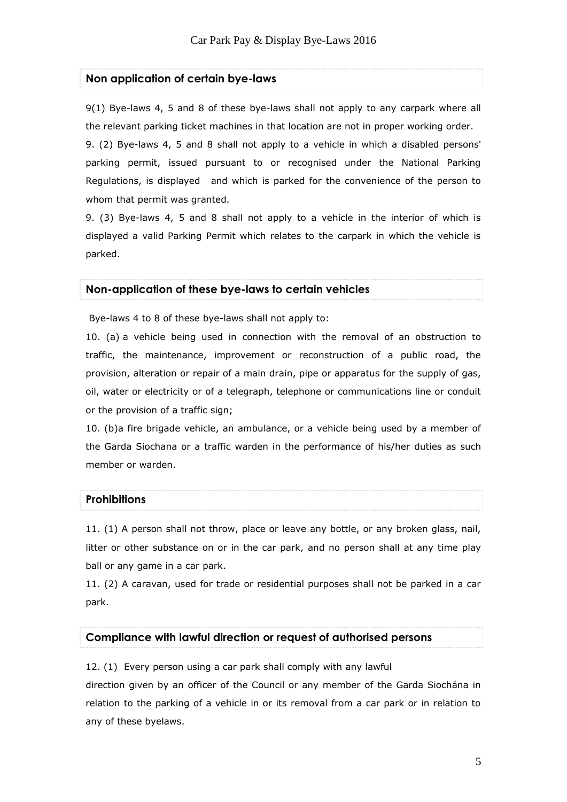#### **Non application of certain bye-laws**

9(1) Bye-laws 4, 5 and 8 of these bye-laws shall not apply to any carpark where all the relevant parking ticket machines in that location are not in proper working order.

9. (2) Bye-laws 4, 5 and 8 shall not apply to a vehicle in which a disabled persons' parking permit, issued pursuant to or recognised under the National Parking Regulations, is displayed and which is parked for the convenience of the person to whom that permit was granted.

9. (3) Bye-laws 4, 5 and 8 shall not apply to a vehicle in the interior of which is displayed a valid Parking Permit which relates to the carpark in which the vehicle is parked.

#### **Non-application of these bye-laws to certain vehicles**

Bye-laws 4 to 8 of these bye-laws shall not apply to:

10. (a) a vehicle being used in connection with the removal of an obstruction to traffic, the maintenance, improvement or reconstruction of a public road, the provision, alteration or repair of a main drain, pipe or apparatus for the supply of gas, oil, water or electricity or of a telegraph, telephone or communications line or conduit or the provision of a traffic sign;

10. (b)a fire brigade vehicle, an ambulance, or a vehicle being used by a member of the Garda Siochana or a traffic warden in the performance of his/her duties as such member or warden.

# **Prohibitions**

11. (1) A person shall not throw, place or leave any bottle, or any broken glass, nail, litter or other substance on or in the car park, and no person shall at any time play ball or any game in a car park.

11. (2) A caravan, used for trade or residential purposes shall not be parked in a car park.

#### **Compliance with lawful direction or request of authorised persons**

12. (1) Every person using a car park shall comply with any lawful

direction given by an officer of the Council or any member of the Garda Siochána in relation to the parking of a vehicle in or its removal from a car park or in relation to any of these byelaws.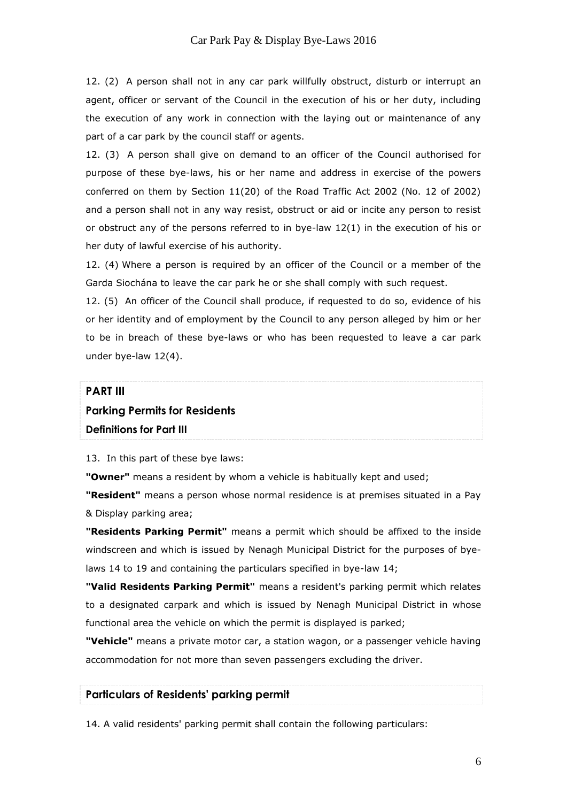12. (2) A person shall not in any car park willfully obstruct, disturb or interrupt an agent, officer or servant of the Council in the execution of his or her duty, including the execution of any work in connection with the laying out or maintenance of any part of a car park by the council staff or agents.

12. (3) A person shall give on demand to an officer of the Council authorised for purpose of these bye-laws, his or her name and address in exercise of the powers conferred on them by Section 11(20) of the Road Traffic Act 2002 (No. 12 of 2002) and a person shall not in any way resist, obstruct or aid or incite any person to resist or obstruct any of the persons referred to in bye-law 12(1) in the execution of his or her duty of lawful exercise of his authority.

12. (4) Where a person is required by an officer of the Council or a member of the Garda Siochána to leave the car park he or she shall comply with such request.

12. (5) An officer of the Council shall produce, if requested to do so, evidence of his or her identity and of employment by the Council to any person alleged by him or her to be in breach of these bye-laws or who has been requested to leave a car park under bye-law 12(4).

## **PART III Parking Permits for Residents Definitions for Part III**

13. In this part of these bye laws:

**"Owner"** means a resident by whom a vehicle is habitually kept and used;

**"Resident"** means a person whose normal residence is at premises situated in a Pay & Display parking area;

**"Residents Parking Permit"** means a permit which should be affixed to the inside windscreen and which is issued by Nenagh Municipal District for the purposes of byelaws 14 to 19 and containing the particulars specified in bye-law 14;

**"Valid Residents Parking Permit"** means a resident's parking permit which relates to a designated carpark and which is issued by Nenagh Municipal District in whose functional area the vehicle on which the permit is displayed is parked;

**"Vehicle"** means a private motor car, a station wagon, or a passenger vehicle having accommodation for not more than seven passengers excluding the driver.

#### **Particulars of Residents' parking permit**

14. A valid residents' parking permit shall contain the following particulars: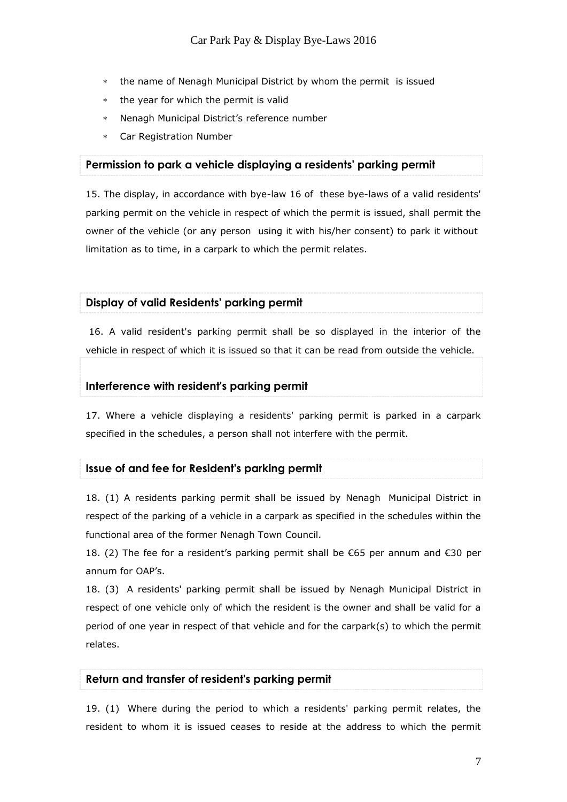- the name of Nenagh Municipal District by whom the permit is issued
- the year for which the permit is valid
- Nenagh Municipal District's reference number
- Car Registration Number

#### **Permission to park a vehicle displaying a residents' parking permit**

15. The display, in accordance with bye-law 16 of these bye-laws of a valid residents' parking permit on the vehicle in respect of which the permit is issued, shall permit the owner of the vehicle (or any person using it with his/her consent) to park it without limitation as to time, in a carpark to which the permit relates.

#### **Display of valid Residents' parking permit**

16. A valid resident's parking permit shall be so displayed in the interior of the vehicle in respect of which it is issued so that it can be read from outside the vehicle.

#### **Interference with resident's parking permit**

17. Where a vehicle displaying a residents' parking permit is parked in a carpark specified in the schedules, a person shall not interfere with the permit.

#### **Issue of and fee for Resident's parking permit**

18. (1) A residents parking permit shall be issued by Nenagh Municipal District in respect of the parking of a vehicle in a carpark as specified in the schedules within the functional area of the former Nenagh Town Council.

18. (2) The fee for a resident's parking permit shall be €65 per annum and €30 per annum for OAP's.

18. (3) A residents' parking permit shall be issued by Nenagh Municipal District in respect of one vehicle only of which the resident is the owner and shall be valid for a period of one year in respect of that vehicle and for the carpark(s) to which the permit relates.

#### **Return and transfer of resident's parking permit**

19. (1) Where during the period to which a residents' parking permit relates, the resident to whom it is issued ceases to reside at the address to which the permit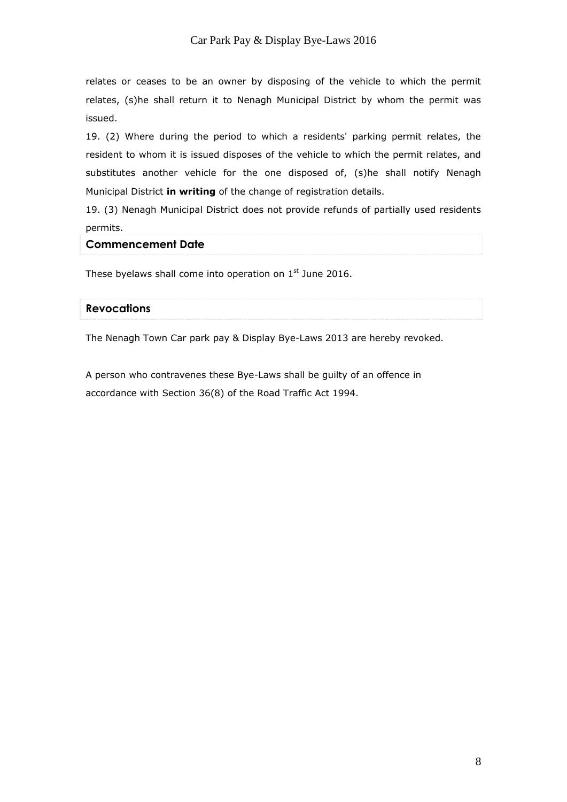relates or ceases to be an owner by disposing of the vehicle to which the permit relates, (s)he shall return it to Nenagh Municipal District by whom the permit was issued.

19. (2) Where during the period to which a residents' parking permit relates, the resident to whom it is issued disposes of the vehicle to which the permit relates, and substitutes another vehicle for the one disposed of, (s)he shall notify Nenagh Municipal District **in writing** of the change of registration details.

19. (3) Nenagh Municipal District does not provide refunds of partially used residents permits.

#### **Commencement Date**

These byelaws shall come into operation on  $1<sup>st</sup>$  June 2016.

## **Revocations**

The Nenagh Town Car park pay & Display Bye-Laws 2013 are hereby revoked.

A person who contravenes these Bye-Laws shall be guilty of an offence in accordance with Section 36(8) of the Road Traffic Act 1994.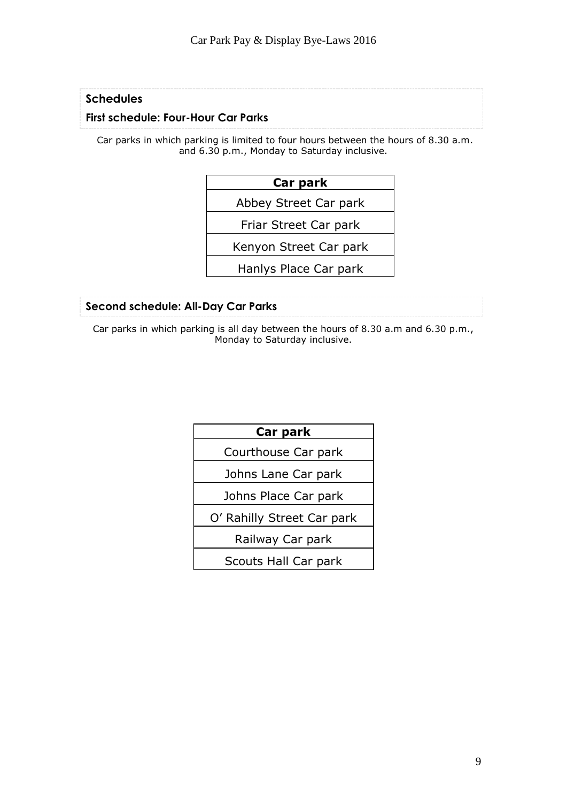## **Schedules**

## **First schedule: Four-Hour Car Parks**

Car parks in which parking is limited to four hours between the hours of 8.30 a.m. and 6.30 p.m., Monday to Saturday inclusive.

| Car park               |  |  |  |
|------------------------|--|--|--|
| Abbey Street Car park  |  |  |  |
| Friar Street Car park  |  |  |  |
| Kenyon Street Car park |  |  |  |
| Hanlys Place Car park  |  |  |  |

## **Second schedule: All-Day Car Parks**

Car parks in which parking is all day between the hours of 8.30 a.m and 6.30 p.m., Monday to Saturday inclusive.

## **Car park**

Courthouse Car park

Johns Lane Car park

Johns Place Car park

O' Rahilly Street Car park

Railway Car park

Scouts Hall Car park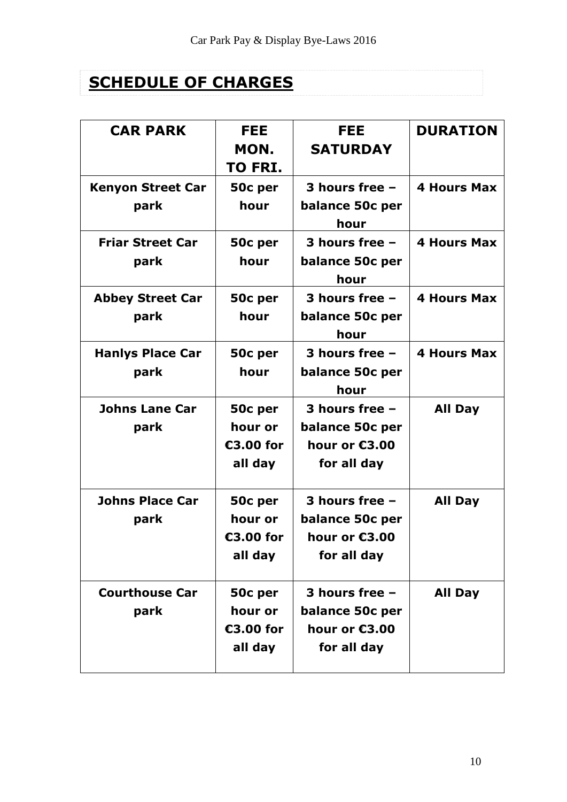# **SCHEDULE OF CHARGES**

| <b>CAR PARK</b>                  | <b>FEE</b><br>MON.<br>TO FRI.              | <b>FEE</b><br><b>SATURDAY</b>                                       | <b>DURATION</b>    |
|----------------------------------|--------------------------------------------|---------------------------------------------------------------------|--------------------|
| <b>Kenyon Street Car</b><br>park | 50c per<br>hour                            | 3 hours free $-$<br>balance 50c per<br>hour                         | <b>4 Hours Max</b> |
| <b>Friar Street Car</b><br>park  | 50c per<br>hour                            | 3 hours free $-$<br>balance 50c per<br>hour                         | <b>4 Hours Max</b> |
| <b>Abbey Street Car</b><br>park  | 50c per<br>hour                            | 3 hours free $-$<br>balance 50c per<br>hour                         | <b>4 Hours Max</b> |
| <b>Hanlys Place Car</b><br>park  | 50c per<br>hour                            | 3 hours free $-$<br>balance 50c per<br>hour                         | <b>4 Hours Max</b> |
| <b>Johns Lane Car</b><br>park    | 50c per<br>hour or<br>€3.00 for<br>all day | 3 hours free $-$<br>balance 50c per<br>hour or €3.00<br>for all day | <b>All Day</b>     |
| <b>Johns Place Car</b><br>park   | 50c per<br>hour or<br>€3.00 for<br>all day | 3 hours free $-$<br>balance 50c per<br>hour or €3.00<br>for all day | <b>All Day</b>     |
| <b>Courthouse Car</b><br>park    | 50c per<br>hour or<br>€3.00 for<br>all day | 3 hours free -<br>balance 50c per<br>hour or $E3.00$<br>for all day | <b>All Day</b>     |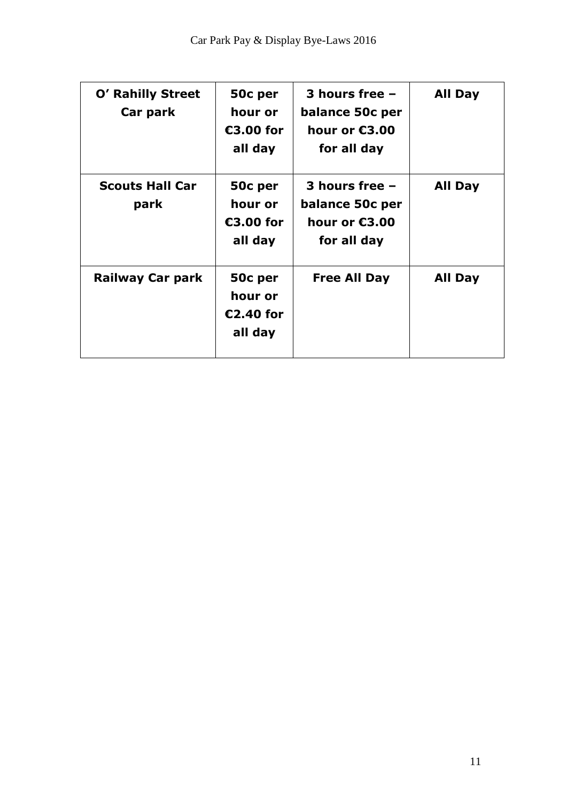| O' Rahilly Street<br>Car park  | 50c per<br>hour or<br>€3.00 for<br>all day | 3 hours free $-$<br>balance 50c per<br>hour or $£3.00$<br>for all day | All Day        |
|--------------------------------|--------------------------------------------|-----------------------------------------------------------------------|----------------|
| <b>Scouts Hall Car</b><br>park | 50c per<br>hour or<br>€3.00 for<br>all day | 3 hours free $-$<br>balance 50c per<br>hour or $E3.00$<br>for all day | All Day        |
| Railway Car park               | 50c per<br>hour or<br>€2.40 for<br>all day | <b>Free All Day</b>                                                   | <b>All Day</b> |